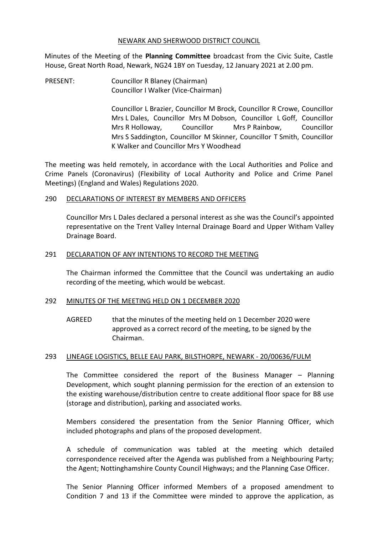#### NEWARK AND SHERWOOD DISTRICT COUNCIL

Minutes of the Meeting of the **Planning Committee** broadcast from the Civic Suite, Castle House, Great North Road, Newark, NG24 1BY on Tuesday, 12 January 2021 at 2.00 pm.

PRESENT: Councillor R Blaney (Chairman) Councillor I Walker (Vice-Chairman)

> Councillor L Brazier, Councillor M Brock, Councillor R Crowe, Councillor Mrs L Dales, Councillor Mrs M Dobson, Councillor L Goff, Councillor Mrs R Holloway, Councillor Mrs P Rainbow, Councillor Mrs S Saddington, Councillor M Skinner, Councillor T Smith, Councillor K Walker and Councillor Mrs Y Woodhead

The meeting was held remotely, in accordance with the Local Authorities and Police and Crime Panels (Coronavirus) (Flexibility of Local Authority and Police and Crime Panel Meetings) (England and Wales) Regulations 2020.

### 290 DECLARATIONS OF INTEREST BY MEMBERS AND OFFICERS

Councillor Mrs L Dales declared a personal interest as she was the Council's appointed representative on the Trent Valley Internal Drainage Board and Upper Witham Valley Drainage Board.

### 291 DECLARATION OF ANY INTENTIONS TO RECORD THE MEETING

The Chairman informed the Committee that the Council was undertaking an audio recording of the meeting, which would be webcast.

### 292 MINUTES OF THE MEETING HELD ON 1 DECEMBER 2020

AGREED that the minutes of the meeting held on 1 December 2020 were approved as a correct record of the meeting, to be signed by the Chairman.

### 293 LINEAGE LOGISTICS, BELLE EAU PARK, BILSTHORPE, NEWARK - 20/00636/FULM

The Committee considered the report of the Business Manager – Planning Development, which sought planning permission for the erection of an extension to the existing warehouse/distribution centre to create additional floor space for B8 use (storage and distribution), parking and associated works.

Members considered the presentation from the Senior Planning Officer, which included photographs and plans of the proposed development.

A schedule of communication was tabled at the meeting which detailed correspondence received after the Agenda was published from a Neighbouring Party; the Agent; Nottinghamshire County Council Highways; and the Planning Case Officer.

The Senior Planning Officer informed Members of a proposed amendment to Condition 7 and 13 if the Committee were minded to approve the application, as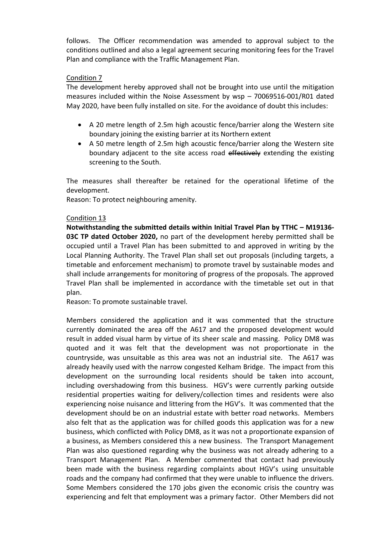follows. The Officer recommendation was amended to approval subject to the conditions outlined and also a legal agreement securing monitoring fees for the Travel Plan and compliance with the Traffic Management Plan.

## Condition 7

The development hereby approved shall not be brought into use until the mitigation measures included within the Noise Assessment by wsp – 70069516-001/R01 dated May 2020, have been fully installed on site. For the avoidance of doubt this includes:

- A 20 metre length of 2.5m high acoustic fence/barrier along the Western site boundary joining the existing barrier at its Northern extent
- A 50 metre length of 2.5m high acoustic fence/barrier along the Western site boundary adjacent to the site access road effectively extending the existing screening to the South.

The measures shall thereafter be retained for the operational lifetime of the development.

Reason: To protect neighbouring amenity.

# Condition 13

**Notwithstanding the submitted details within Initial Travel Plan by TTHC – M19136- 03C TP dated October 2020,** no part of the development hereby permitted shall be occupied until a Travel Plan has been submitted to and approved in writing by the Local Planning Authority. The Travel Plan shall set out proposals (including targets, a timetable and enforcement mechanism) to promote travel by sustainable modes and shall include arrangements for monitoring of progress of the proposals. The approved Travel Plan shall be implemented in accordance with the timetable set out in that plan.

Reason: To promote sustainable travel.

Members considered the application and it was commented that the structure currently dominated the area off the A617 and the proposed development would result in added visual harm by virtue of its sheer scale and massing. Policy DM8 was quoted and it was felt that the development was not proportionate in the countryside, was unsuitable as this area was not an industrial site. The A617 was already heavily used with the narrow congested Kelham Bridge. The impact from this development on the surrounding local residents should be taken into account, including overshadowing from this business. HGV's were currently parking outside residential properties waiting for delivery/collection times and residents were also experiencing noise nuisance and littering from the HGV's. It was commented that the development should be on an industrial estate with better road networks. Members also felt that as the application was for chilled goods this application was for a new business, which conflicted with Policy DM8, as it was not a proportionate expansion of a business, as Members considered this a new business. The Transport Management Plan was also questioned regarding why the business was not already adhering to a Transport Management Plan. A Member commented that contact had previously been made with the business regarding complaints about HGV's using unsuitable roads and the company had confirmed that they were unable to influence the drivers. Some Members considered the 170 jobs given the economic crisis the country was experiencing and felt that employment was a primary factor. Other Members did not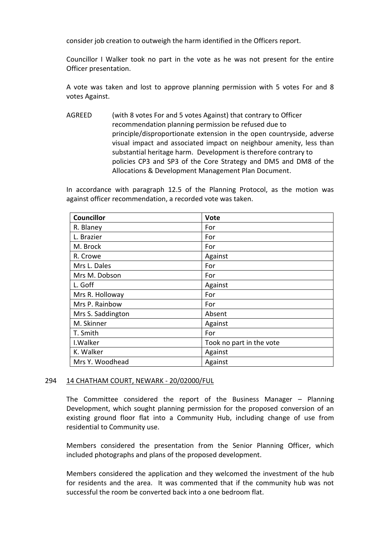consider job creation to outweigh the harm identified in the Officers report.

Councillor I Walker took no part in the vote as he was not present for the entire Officer presentation.

A vote was taken and lost to approve planning permission with 5 votes For and 8 votes Against.

AGREED (with 8 votes For and 5 votes Against) that contrary to Officer recommendation planning permission be refused due to principle/disproportionate extension in the open countryside, adverse visual impact and associated impact on neighbour amenity, less than substantial heritage harm. Development is therefore contrary to policies CP3 and SP3 of the Core Strategy and DM5 and DM8 of the Allocations & Development Management Plan Document.

In accordance with paragraph 12.5 of the Planning Protocol, as the motion was against officer recommendation, a recorded vote was taken.

| <b>Councillor</b> | <b>Vote</b>              |
|-------------------|--------------------------|
| R. Blaney         | For                      |
| L. Brazier        | For                      |
| M. Brock          | For                      |
| R. Crowe          | Against                  |
| Mrs L. Dales      | For                      |
| Mrs M. Dobson     | For                      |
| L. Goff           | Against                  |
| Mrs R. Holloway   | For                      |
| Mrs P. Rainbow    | For                      |
| Mrs S. Saddington | Absent                   |
| M. Skinner        | Against                  |
| T. Smith          | For                      |
| I. Walker         | Took no part in the vote |
| K. Walker         | Against                  |
| Mrs Y. Woodhead   | Against                  |

### 294 14 CHATHAM COURT, NEWARK - 20/02000/FUL

The Committee considered the report of the Business Manager – Planning Development, which sought planning permission for the proposed conversion of an existing ground floor flat into a Community Hub, including change of use from residential to Community use.

Members considered the presentation from the Senior Planning Officer, which included photographs and plans of the proposed development.

Members considered the application and they welcomed the investment of the hub for residents and the area. It was commented that if the community hub was not successful the room be converted back into a one bedroom flat.